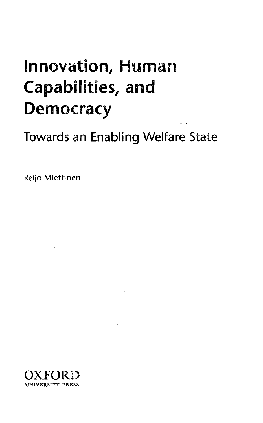## Innovation, Human Capabilities, and **Democracy**

Towards an Enabling Welfare State

Reijo Miettinen



**Contractor**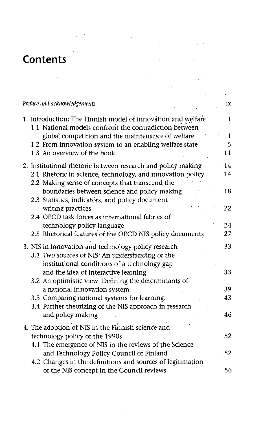## **Contents**

 $\sim 10^{-10}$ 

 $\mathbf{G}(\mathbf{z})$  and  $\mathbf{G}(\mathbf{z})$  are the set of the set of  $\mathbf{G}(\mathbf{z})$ 

| Preface and acknowledgements |                                                                                                                        |    |
|------------------------------|------------------------------------------------------------------------------------------------------------------------|----|
|                              | 1. Introduction: The Finnish model of innovation and welfare<br>1.1 National models confront the contradiction between | 1  |
|                              | global competition and the maintenance of welfare                                                                      | 1  |
|                              | 1.2 From innovation system to an enabling welfare state                                                                | 5  |
|                              | 1.3 An overview of the book                                                                                            | 11 |
|                              | 2. Institutional rhetoric between research and policy making                                                           | 14 |
|                              | 2.1 Rhetoric in science, technology, and innovation policy                                                             | 14 |
|                              | 2.2 Making sense of concepts that transcend the                                                                        |    |
|                              | boundaries between science and policy making                                                                           | 18 |
|                              | 2.3 Statistics, indicators, and policy document                                                                        | 22 |
|                              | writing practices<br>2.4 OECD task forces as international fabrics of                                                  |    |
|                              | technology policy language                                                                                             | 24 |
|                              | 2.5 Rhetorical features of the OECD NIS policy documents                                                               | 27 |
|                              |                                                                                                                        |    |
|                              | 3. NIS in innovation and technology policy research<br>3.1 Two sources of NIS: An understanding of the                 | 33 |
|                              | institutional conditions of a technology gap                                                                           |    |
|                              | and the idea of interactive learning                                                                                   | 33 |
|                              | 3.2 An optimistic view: Defining the determinants of                                                                   |    |
|                              | a national innovation system                                                                                           | 39 |
|                              | 3.3 Comparing national systems for learning.                                                                           | 43 |
|                              | 3.4 Further theorizing of the NIS approach in research                                                                 |    |
|                              | and policy making                                                                                                      | 46 |
|                              | 4. The adoption of NIS in the Finnish science and                                                                      |    |
|                              | technology policy of the 1990s                                                                                         | 52 |
|                              | 4.1 The emergence of NIS in the reviews of the Science                                                                 |    |
|                              | and Technology Policy Council of Finland                                                                               | 52 |
|                              | 4.2 Changes in the definitions and sources of legitimation                                                             |    |
|                              | of the NIS concept in the Council reviews                                                                              | 56 |

 $\sim$   $\sim$ 

 $\label{eq:2.1} \mathcal{L}(\mathcal{A}) = \mathcal{L}(\mathcal{A}) = \mathcal{L}(\mathcal{A}) = \mathcal{L}(\mathcal{A}) = \mathcal{L}(\mathcal{A}) = \mathcal{L}(\mathcal{A}) = \mathcal{L}(\mathcal{A}) = \mathcal{L}(\mathcal{A})$ 

 $\label{eq:2.1} \begin{split} \mathcal{L}_{\text{max}}(\mathbf{X},\mathbf{X}) & = \mathcal{L}_{\text{max}}(\mathbf{X},\mathbf{X}) \\ & = \mathcal{L}_{\text{max}}(\mathbf{X},\mathbf{X}) + \mathcal{L}_{\text{max}}(\mathbf{X},\mathbf{X}) \\ & = \mathcal{L}_{\text{max}}(\mathbf{X},\mathbf{X}) + \mathcal{L}_{\text{max}}(\mathbf{X},\mathbf{X}) \\ & = \mathcal{L}_{\text{max}}(\mathbf{X},\mathbf{X}) + \mathcal{L}_{\text{max}}(\mathbf{X},\mathbf{X}) \\ & = \mathcal{L$ 

 $\mathcal{A}(\mathcal{A})$  and  $\mathcal{A}(\mathcal{A})$  are all the set of  $\mathcal{A}(\mathcal{A})$ 

 $\label{eq:2.1} \mathcal{L}(\mathcal{L}^{\text{max}}_{\mathcal{L}}(\mathcal{L}^{\text{max}}_{\mathcal{L}}(\mathcal{L}^{\text{max}}_{\mathcal{L}}(\mathcal{L}^{\text{max}}_{\mathcal{L}^{\text{max}}_{\mathcal{L}}(\mathcal{L}^{\text{max}}_{\mathcal{L}^{\text{max}}_{\mathcal{L}^{\text{max}}_{\mathcal{L}^{\text{max}}_{\mathcal{L}^{\text{max}}_{\mathcal{L}^{\text{max}}_{\mathcal{L}^{\text{max}}_{\mathcal{L}^{\text{max}}_{\mathcal{L}^{\text{max}}$ 

 $\bar{\beta}$ 

 $\sim$   $\sim$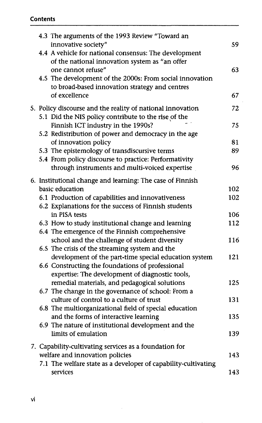|  |                                                           | 4.3 The arguments of the 1993 Review "Toward an<br>innovative society"                                  | 59  |  |  |
|--|-----------------------------------------------------------|---------------------------------------------------------------------------------------------------------|-----|--|--|
|  |                                                           | 4.4 A vehicle for national consensus: The development<br>of the national innovation system as "an offer |     |  |  |
|  |                                                           | one cannot refuse"<br>4.5 The development of the 2000s: From social innovation                          | 63  |  |  |
|  |                                                           | to broad-based innovation strategy and centres                                                          |     |  |  |
|  |                                                           | of excellence                                                                                           | 67  |  |  |
|  |                                                           | 5. Policy discourse and the reality of national innovation                                              | 72  |  |  |
|  |                                                           | 5.1 Did the NIS policy contribute to the rise of the                                                    |     |  |  |
|  |                                                           | Finnish ICT industry in the 1990s?                                                                      | 75  |  |  |
|  |                                                           | 5.2 Redistribution of power and democracy in the age                                                    |     |  |  |
|  |                                                           | of innovation policy                                                                                    | 81  |  |  |
|  |                                                           | 5.3 The epistemology of transdiscursive terms                                                           | 89  |  |  |
|  |                                                           | 5.4 From policy discourse to practice: Performativity                                                   |     |  |  |
|  |                                                           | through instruments and multi-voiced expertise                                                          | 96  |  |  |
|  | 6. Institutional change and learning: The case of Finnish |                                                                                                         |     |  |  |
|  |                                                           | basic education                                                                                         | 102 |  |  |
|  |                                                           | 6.1 Production of capabilities and innovativeness                                                       | 102 |  |  |
|  |                                                           | 6.2 Explanations for the success of Finnish students                                                    |     |  |  |
|  |                                                           | in PISA tests                                                                                           | 106 |  |  |
|  |                                                           | 6.3 How to study institutional change and learning                                                      | 112 |  |  |
|  |                                                           | 6.4 The emergence of the Finnish comprehensive                                                          |     |  |  |
|  |                                                           | school and the challenge of student diversity                                                           | 116 |  |  |
|  |                                                           | 6.5 The crisis of the streaming system and the                                                          |     |  |  |
|  |                                                           | development of the part-time special education system                                                   | 121 |  |  |
|  |                                                           | 6.6 Constructing the foundations of professional                                                        |     |  |  |
|  |                                                           | expertise: The development of diagnostic tools,<br>remedial materials, and pedagogical solutions        | 125 |  |  |
|  |                                                           | 6.7 The change in the governance of school: From a                                                      |     |  |  |
|  |                                                           | culture of control to a culture of trust                                                                | 131 |  |  |
|  |                                                           | 6.8 The multiorganizational field of special education                                                  |     |  |  |
|  |                                                           | and the forms of interactive learning                                                                   | 135 |  |  |
|  |                                                           | 6.9 The nature of institutional development and the                                                     |     |  |  |
|  |                                                           | limits of emulation                                                                                     | 139 |  |  |
|  | 7. Capability-cultivating services as a foundation for    |                                                                                                         |     |  |  |
|  |                                                           | welfare and innovation policies                                                                         | 143 |  |  |
|  |                                                           | 7.1 The welfare state as a developer of capability-cultivating                                          |     |  |  |
|  |                                                           | services                                                                                                | 143 |  |  |

 $\bar{z}$